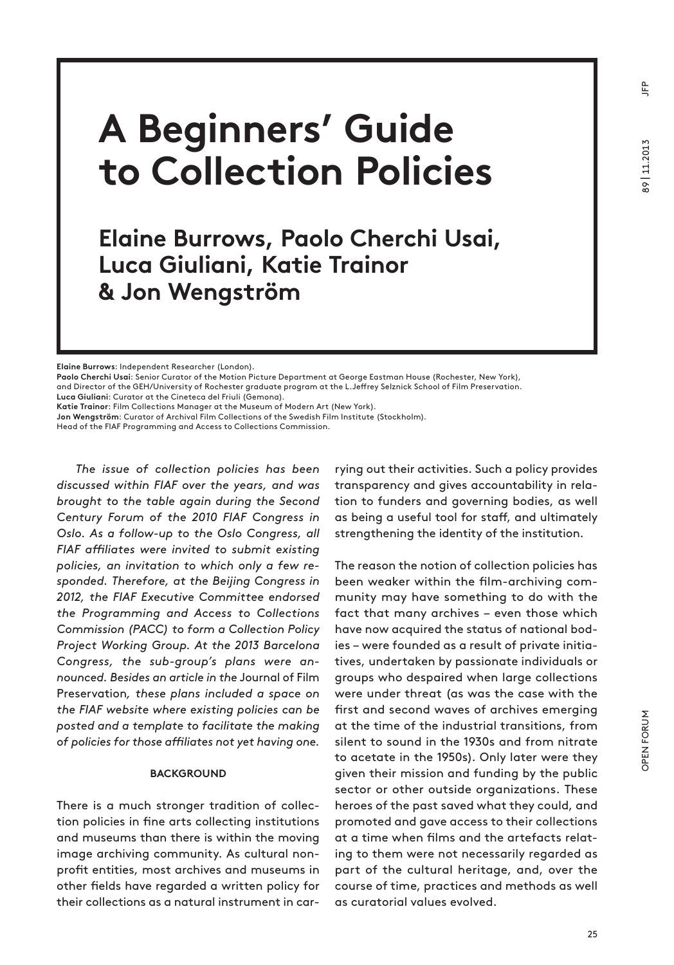<u>ድ</u>

# **A Beginners' Guide to Collection Policies**

# **Elaine Burrows, Paolo Cherchi Usai, Luca Giuliani, Katie Trainor & Jon Wengström**

**Elaine Burrows**: Independent Researcher (London).

**Paolo Cherchi Usai**: Senior Curator of the Motion Picture Department at George Eastman House (Rochester, New York), and Director of the GEH/University of Rochester graduate program at the L.Jeffrey Selznick School of Film Preservation.

**Luca Giuliani**: Curator at the Cineteca del Friuli (Gemona).

**Katie Trainor**: Film Collections Manager at the Museum of Modern Art (New York).

**Jon Wengström**: Curator of Archival Film Collections of the Swedish Film Institute (Stockholm).

Head of the FIAF Programming and Access to Collections Commission.

*The issue of collection policies has been discussed within FIAF over the years, and was brought to the table again during the Second Century Forum of the 2010 FIAF Congress in Oslo. As a follow-up to the Oslo Congress, all FIAF affiliates were invited to submit existing policies, an invitation to which only a few responded. Therefore, at the Beijing Congress in 2012, the FIAF Executive Committee endorsed the Programming and Access to Collections Commission (PACC) to form a Collection Policy Project Working Group. At the 2013 Barcelona Congress, the sub-group's plans were announced. Besides an article in the* Journal of Film Preservation*, these plans included a space on the FIAF website where existing policies can be posted and a template to facilitate the making of policies for those affiliates not yet having one.*

#### **BACKGROUND**

There is a much stronger tradition of collection policies in fine arts collecting institutions and museums than there is within the moving image archiving community. As cultural nonprofit entities, most archives and museums in other fields have regarded a written policy for their collections as a natural instrument in carrying out their activities. Such a policy provides transparency and gives accountability in relation to funders and governing bodies, as well as being a useful tool for staff, and ultimately strengthening the identity of the institution.

The reason the notion of collection policies has been weaker within the film-archiving community may have something to do with the fact that many archives – even those which have now acquired the status of national bodies – were founded as a result of private initiatives, undertaken by passionate individuals or groups who despaired when large collections were under threat (as was the case with the first and second waves of archives emerging at the time of the industrial transitions, from silent to sound in the 1930s and from nitrate to acetate in the 1950s). Only later were they given their mission and funding by the public sector or other outside organizations. These heroes of the past saved what they could, and promoted and gave access to their collections at a time when films and the artefacts relating to them were not necessarily regarded as part of the cultural heritage, and, over the course of time, practices and methods as well as curatorial values evolved.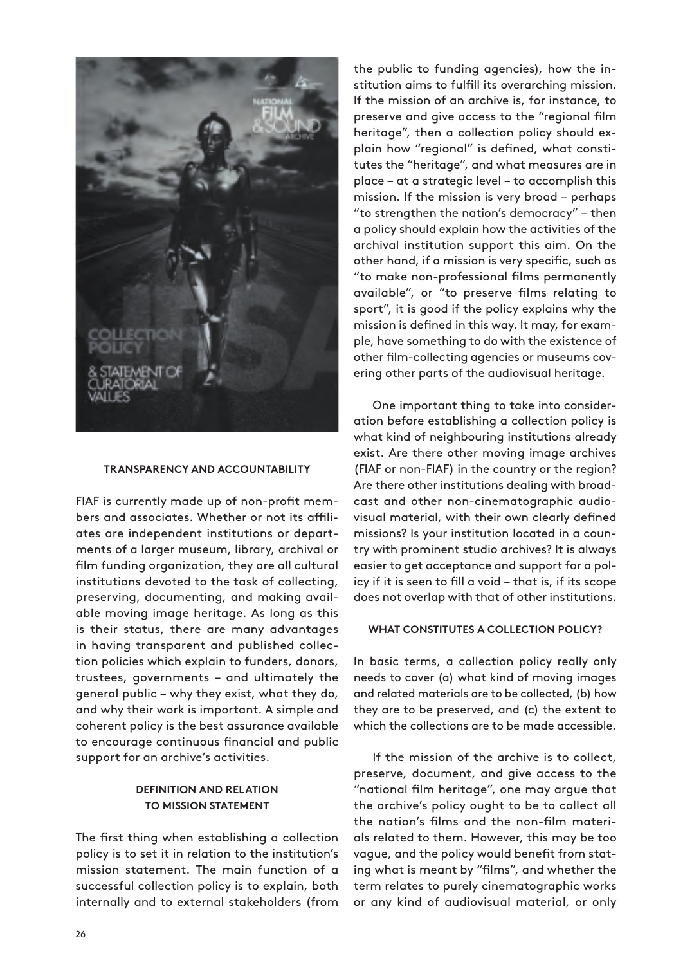

#### **TRAnSpAREnCY AnD ACCOunTABILITY**

FIAF is currently made up of non-profit members and associates. Whether or not its affiliates are independent institutions or departments of a larger museum, library, archival or film funding organization, they are all cultural institutions devoted to the task of collecting, preserving, documenting, and making available moving image heritage. As long as this is their status, there are many advantages in having transparent and published collection policies which explain to funders, donors, trustees, governments – and ultimately the general public – why they exist, what they do, and why their work is important. A simple and coherent policy is the best assurance available to encourage continuous financial and public support for an archive's activities.

#### **DEFInITIOn AnD RELATIOn TO mISSIOn STATEmEnT**

The first thing when establishing a collection policy is to set it in relation to the institution's mission statement. The main function of a successful collection policy is to explain, both internally and to external stakeholders (from the public to funding agencies), how the institution aims to fulfill its overarching mission. If the mission of an archive is, for instance, to preserve and give access to the "regional film heritage", then a collection policy should explain how "regional" is defined, what constitutes the "heritage", and what measures are in place – at a strategic level – to accomplish this mission. If the mission is very broad – perhaps "to strengthen the nation's democracy" – then a policy should explain how the activities of the archival institution support this aim. On the other hand, if a mission is very specific, such as "to make non-professional films permanently available", or "to preserve films relating to sport", it is good if the policy explains why the mission is defined in this way. It may, for example, have something to do with the existence of other film-collecting agencies or museums covering other parts of the audiovisual heritage.

One important thing to take into consideration before establishing a collection policy is what kind of neighbouring institutions already exist. Are there other moving image archives (FIAF or non-FIAF) in the country or the region? Are there other institutions dealing with broadcast and other non-cinematographic audiovisual material, with their own clearly defined missions? Is your institution located in a country with prominent studio archives? It is always easier to get acceptance and support for a policy if it is seen to fill a void – that is, if its scope does not overlap with that of other institutions.

#### **WHAT COnSTITuTES A COLLECTIOn pOLICY?**

In basic terms, a collection policy really only needs to cover (a) what kind of moving images and related materials are to be collected, (b) how they are to be preserved, and (c) the extent to which the collections are to be made accessible.

If the mission of the archive is to collect, preserve, document, and give access to the "national film heritage", one may argue that the archive's policy ought to be to collect all the nation's films and the non-film materials related to them. However, this may be too vague, and the policy would benefit from stating what is meant by "films", and whether the term relates to purely cinematographic works or any kind of audiovisual material, or only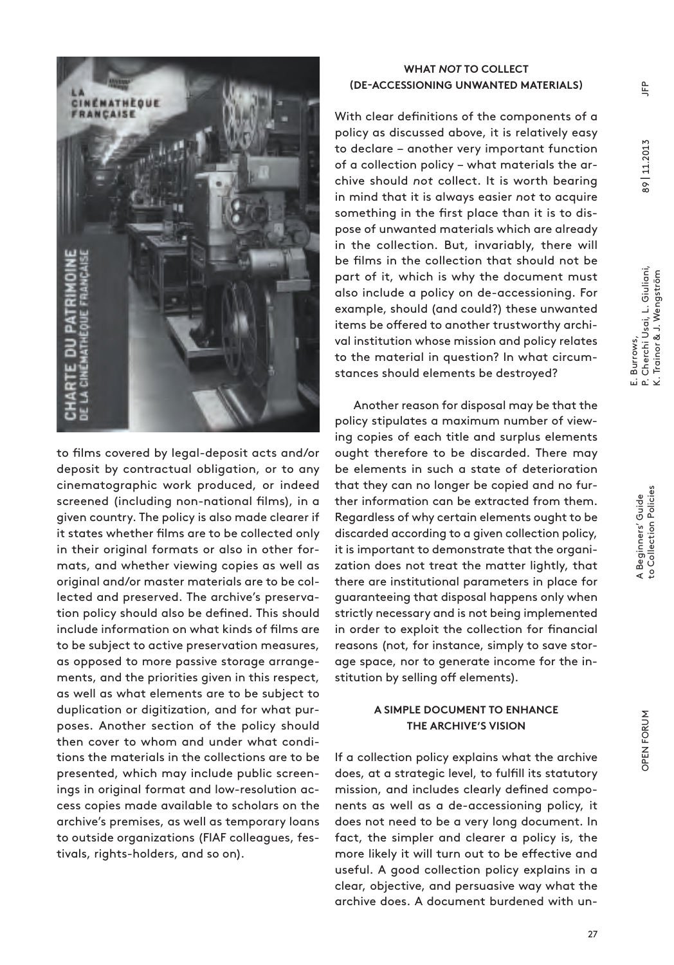

to films covered by legal-deposit acts and/or deposit by contractual obligation, or to any cinematographic work produced, or indeed screened (including non-national films), in a given country. The policy is also made clearer if it states whether films are to be collected only in their original formats or also in other formats, and whether viewing copies as well as original and/or master materials are to be collected and preserved. The archive's preservation policy should also be defined. This should include information on what kinds of films are to be subject to active preservation measures, as opposed to more passive storage arrangements, and the priorities given in this respect, as well as what elements are to be subject to duplication or digitization, and for what purposes. Another section of the policy should then cover to whom and under what conditions the materials in the collections are to be presented, which may include public screenings in original format and low-resolution access copies made available to scholars on the archive's premises, as well as temporary loans to outside organizations (FIAF colleagues, festivals, rights-holders, and so on).

### **WHAT** *NOT* **TO COLLECT (DE-ACCESSIOnInG unWAnTED mATERIALS)**

With clear definitions of the components of a policy as discussed above, it is relatively easy to declare – another very important function of a collection policy – what materials the archive should *not* collect. It is worth bearing in mind that it is always easier *not* to acquire something in the first place than it is to dispose of unwanted materials which are already in the collection. But, invariably, there will be films in the collection that should not be part of it, which is why the document must also include a policy on de-accessioning. For example, should (and could?) these unwanted items be offered to another trustworthy archival institution whose mission and policy relates to the material in question? In what circumstances should elements be destroyed?

Another reason for disposal may be that the policy stipulates a maximum number of viewing copies of each title and surplus elements ought therefore to be discarded. There may be elements in such a state of deterioration that they can no longer be copied and no further information can be extracted from them. Regardless of why certain elements ought to be discarded according to a given collection policy, it is important to demonstrate that the organization does not treat the matter lightly, that there are institutional parameters in place for guaranteeing that disposal happens only when strictly necessary and is not being implemented in order to exploit the collection for financial reasons (not, for instance, simply to save storage space, nor to generate income for the institution by selling off elements).

## **A SImpLE DOCumEnT TO EnHAnCE THE ARCHIVE'S VISIOn**

If a collection policy explains what the archive does, at a strategic level, to fulfill its statutory mission, and includes clearly defined components as well as a de-accessioning policy, it does not need to be a very long document. In fact, the simpler and clearer a policy is, the more likely it will turn out to be effective and useful. A good collection policy explains in a clear, objective, and persuasive way what the archive does. A document burdened with unOPEN FORUM

OPEN FORUM

 $E$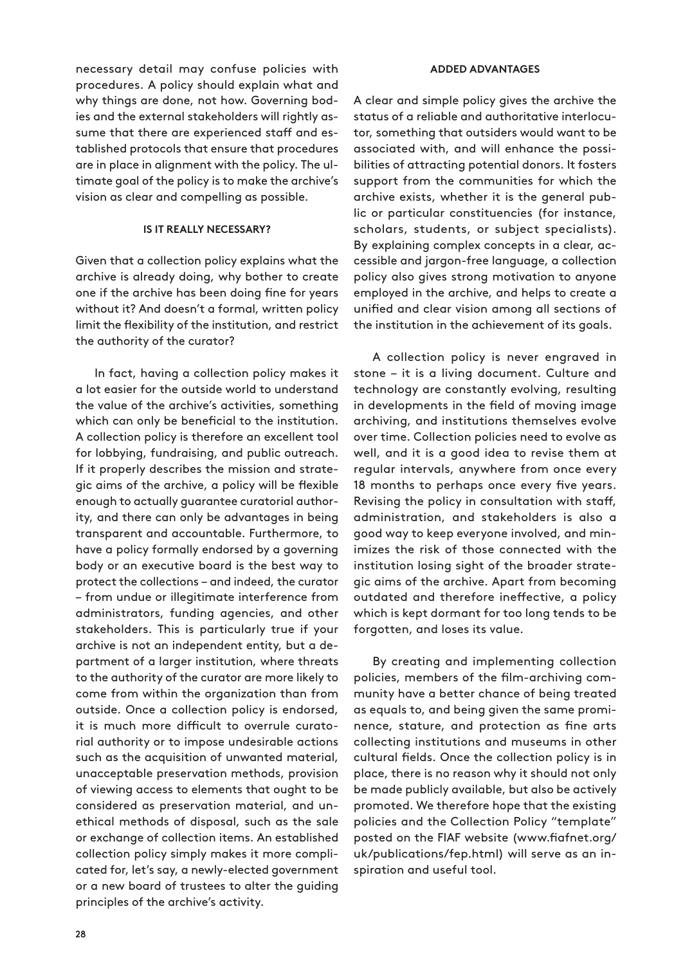necessary detail may confuse policies with procedures. A policy should explain what and why things are done, not how. Governing bodies and the external stakeholders will rightly assume that there are experienced staff and established protocols that ensure that procedures are in place in alignment with the policy. The ultimate goal of the policy is to make the archive's vision as clear and compelling as possible.

#### **Is it really necessary?**

Given that a collection policy explains what the archive is already doing, why bother to create one if the archive has been doing fine for years without it? And doesn't a formal, written policy limit the flexibility of the institution, and restrict the authority of the curator?

In fact, having a collection policy makes it a lot easier for the outside world to understand the value of the archive's activities, something which can only be beneficial to the institution. A collection policy is therefore an excellent tool for lobbying, fundraising, and public outreach. If it properly describes the mission and strategic aims of the archive, a policy will be flexible enough to actually guarantee curatorial authority, and there can only be advantages in being transparent and accountable. Furthermore, to have a policy formally endorsed by a governing body or an executive board is the best way to protect the collections – and indeed, the curator – from undue or illegitimate interference from administrators, funding agencies, and other stakeholders. This is particularly true if your archive is not an independent entity, but a department of a larger institution, where threats to the authority of the curator are more likely to come from within the organization than from outside. Once a collection policy is endorsed, it is much more difficult to overrule curatorial authority or to impose undesirable actions such as the acquisition of unwanted material, unacceptable preservation methods, provision of viewing access to elements that ought to be considered as preservation material, and unethical methods of disposal, such as the sale or exchange of collection items. An established collection policy simply makes it more complicated for, let's say, a newly-elected government or a new board of trustees to alter the guiding principles of the archive's activity.

#### **Added advantages**

A clear and simple policy gives the archive the status of a reliable and authoritative interlocutor, something that outsiders would want to be associated with, and will enhance the possibilities of attracting potential donors. It fosters support from the communities for which the archive exists, whether it is the general public or particular constituencies (for instance, scholars, students, or subject specialists). By explaining complex concepts in a clear, accessible and jargon-free language, a collection policy also gives strong motivation to anyone employed in the archive, and helps to create a unified and clear vision among all sections of the institution in the achievement of its goals.

A collection policy is never engraved in stone – it is a living document. Culture and technology are constantly evolving, resulting in developments in the field of moving image archiving, and institutions themselves evolve over time. Collection policies need to evolve as well, and it is a good idea to revise them at regular intervals, anywhere from once every 18 months to perhaps once every five years. Revising the policy in consultation with staff, administration, and stakeholders is also a good way to keep everyone involved, and minimizes the risk of those connected with the institution losing sight of the broader strategic aims of the archive. Apart from becoming outdated and therefore ineffective, a policy which is kept dormant for too long tends to be forgotten, and loses its value.

By creating and implementing collection policies, members of the film-archiving community have a better chance of being treated as equals to, and being given the same prominence, stature, and protection as fine arts collecting institutions and museums in other cultural fields. Once the collection policy is in place, there is no reason why it should not only be made publicly available, but also be actively promoted. We therefore hope that the existing policies and the Collection Policy "template" posted on the FIAF website (www.fiafnet.org/ uk/publications/fep.html) will serve as an inspiration and useful tool.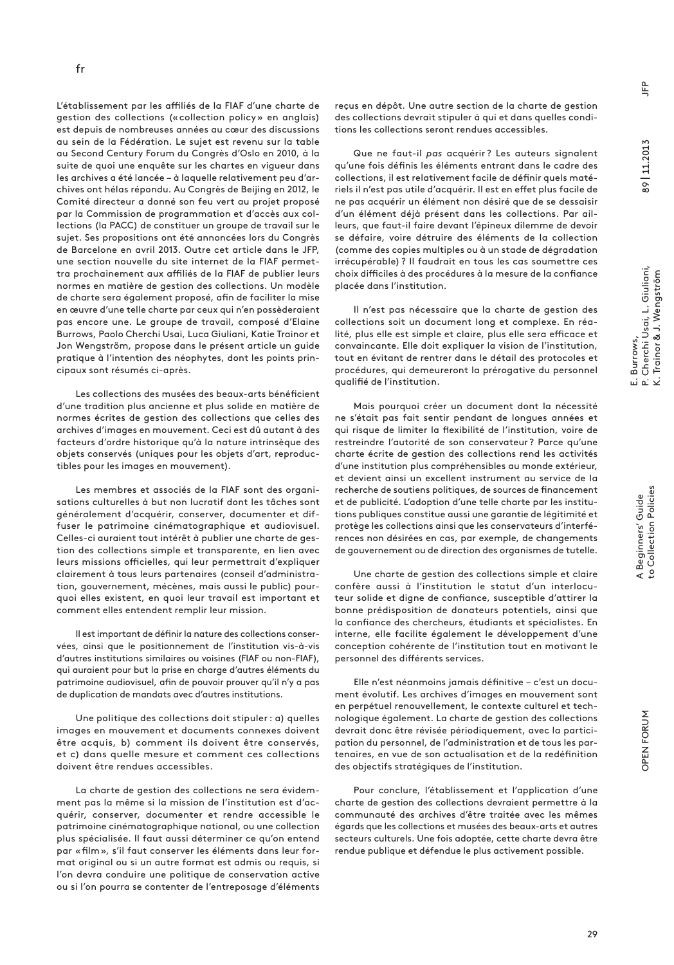L'établissement par les affiliés de la FIAF d'une charte de gestion des collections («collection policy» en anglais) est depuis de nombreuses années au cœur des discussions au sein de la Fédération. Le sujet est revenu sur la table au Second Century Forum du Congrès d'Oslo en 2010, à la suite de quoi une enquête sur les chartes en vigueur dans les archives a été lancée – à laquelle relativement peu d'archives ont hélas répondu. Au Congrès de Beijing en 2012, le Comité directeur a donné son feu vert au projet proposé par la Commission de programmation et d'accès aux collections (la PACC) de constituer un groupe de travail sur le sujet. Ses propositions ont été annoncées lors du Congrès de Barcelone en avril 2013. Outre cet article dans le JFP, une section nouvelle du site internet de la FIAF permettra prochainement aux affiliés de la FIAF de publier leurs normes en matière de gestion des collections. Un modèle de charte sera également proposé, afin de faciliter la mise en œuvre d'une telle charte par ceux qui n'en possèderaient pas encore une. Le groupe de travail, composé d'Elaine Burrows, Paolo Cherchi Usai, Luca Giuliani, Katie Trainor et Jon Wengström, propose dans le présent article un guide pratique à l'intention des néophytes, dont les points principaux sont résumés ci-après.

Les collections des musées des beaux-arts bénéficient d'une tradition plus ancienne et plus solide en matière de normes écrites de gestion des collections que celles des archives d'images en mouvement. Ceci est dû autant à des facteurs d'ordre historique qu'à la nature intrinsèque des objets conservés (uniques pour les objets d'art, reproductibles pour les images en mouvement).

Les membres et associés de la FIAF sont des organisations culturelles à but non lucratif dont les tâches sont généralement d'acquérir, conserver, documenter et diffuser le patrimoine cinématographique et audiovisuel. Celles-ci auraient tout intérêt à publier une charte de gestion des collections simple et transparente, en lien avec leurs missions officielles, qui leur permettrait d'expliquer clairement à tous leurs partenaires (conseil d'administration, gouvernement, mécènes, mais aussi le public) pourquoi elles existent, en quoi leur travail est important et comment elles entendent remplir leur mission.

Il est important de définir la nature des collections conservées, ainsi que le positionnement de l'institution vis-à-vis d'autres institutions similaires ou voisines (FIAF ou non-FIAF), qui auraient pour but la prise en charge d'autres éléments du patrimoine audiovisuel, afin de pouvoir prouver qu'il n'y a pas de duplication de mandats avec d'autres institutions.

Une politique des collections doit stipuler: a) quelles images en mouvement et documents connexes doivent être acquis, b) comment ils doivent être conservés, et c) dans quelle mesure et comment ces collections doivent être rendues accessibles.

La charte de gestion des collections ne sera évidemment pas la même si la mission de l'institution est d'acquérir, conserver, documenter et rendre accessible le patrimoine cinématographique national, ou une collection plus spécialisée. Il faut aussi déterminer ce qu'on entend par «film», s'il faut conserver les éléments dans leur format original ou si un autre format est admis ou requis, si l'on devra conduire une politique de conservation active ou si l'on pourra se contenter de l'entreposage d'éléments reçus en dépôt. Une autre section de la charte de gestion des collections devrait stipuler à qui et dans quelles conditions les collections seront rendues accessibles.

Que ne faut-il *pas* acquérir ? Les auteurs signalent qu'une fois définis les éléments entrant dans le cadre des collections, il est relativement facile de définir quels matériels il n'est pas utile d'acquérir. Il est en effet plus facile de ne pas acquérir un élément non désiré que de se dessaisir d'un élément déjà présent dans les collections. Par ailleurs, que faut-il faire devant l'épineux dilemme de devoir se défaire, voire détruire des éléments de la collection (comme des copies multiples ou à un stade de dégradation irrécupérable) ? Il faudrait en tous les cas soumettre ces choix difficiles à des procédures à la mesure de la confiance placée dans l'institution.

Il n'est pas nécessaire que la charte de gestion des collections soit un document long et complexe. En réalité, plus elle est simple et claire, plus elle sera efficace et convaincante. Elle doit expliquer la vision de l'institution, tout en évitant de rentrer dans le détail des protocoles et procédures, qui demeureront la prérogative du personnel qualifié de l'institution.

Mais pourquoi créer un document dont la nécessité ne s'était pas fait sentir pendant de longues années et qui risque de limiter la flexibilité de l'institution, voire de restreindre l'autorité de son conservateur? Parce qu'une charte écrite de gestion des collections rend les activités d'une institution plus compréhensibles au monde extérieur, et devient ainsi un excellent instrument au service de la recherche de soutiens politiques, de sources de financement et de publicité. L'adoption d'une telle charte par les institutions publiques constitue aussi une garantie de légitimité et protège les collections ainsi que les conservateurs d'interférences non désirées en cas, par exemple, de changements de gouvernement ou de direction des organismes de tutelle.

Une charte de gestion des collections simple et claire confère aussi à l'institution le statut d'un interlocuteur solide et digne de confiance, susceptible d'attirer la bonne prédisposition de donateurs potentiels, ainsi que la confiance des chercheurs, étudiants et spécialistes. En interne, elle facilite également le développement d'une conception cohérente de l'institution tout en motivant le personnel des différents services.

Elle n'est néanmoins jamais définitive – c'est un document évolutif. Les archives d'images en mouvement sont en perpétuel renouvellement, le contexte culturel et technologique également. La charte de gestion des collections devrait donc être révisée périodiquement, avec la participation du personnel, de l'administration et de tous les partenaires, en vue de son actualisation et de la redéfinition des objectifs stratégiques de l'institution.

Pour conclure, l'établissement et l'application d'une charte de gestion des collections devraient permettre à la communauté des archives d'être traitée avec les mêmes égards que les collections et musées des beaux-arts et autres secteurs culturels. Une fois adoptée, cette charte devra être rendue publique et défendue le plus activement possible.

E. Burrows,

P. Cherchi Usai, L. Giuliani, K. Trainor & J. Wengström

ப் உ் ∠்

. Burrows,<br>. Cherchi Usai, L. Giuliani,<br>. Trainor & J. Wengström

89 | 11.2013

89 | 11.2013